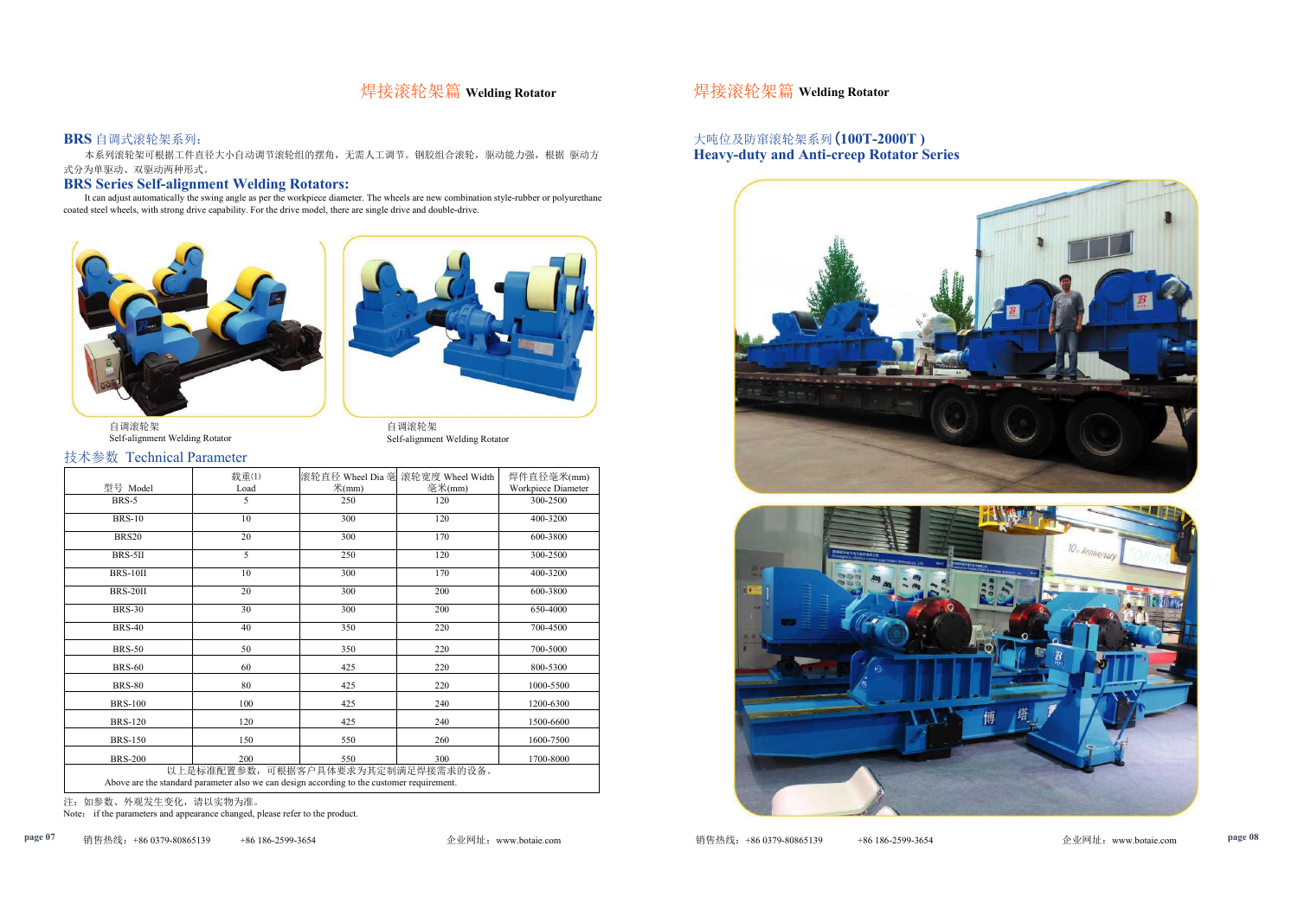# 焊接滚轮架篇 **Welding Rotator** 焊接滚轮架篇 **Welding Rotator**

### **BRS** 自调式滚轮架系列:

本系列滚轮架可根据工件直径大小自动调节滚轮组的摆角,无需人工调节。钢胶组合滚轮,驱动能力强,根据 驱动方 式分为单驱动、双驱动两种形式。

## **BRS Series Self-alignment Welding Rotators:**

It can adjust automatically the swing angle as per the workpiece diameter. The wheels are new combination style-rubber or polyurethane coated steel wheels, with strong drive capability. For the drive model, there are single drive and double-drive.



自调滚轮架 自调滚轮架<br>Self-alignment Welding Rotator https://www.facebook.com/self-alignmen



# Self-alignment Welding Rotator

## 技术参数 Technical Parameter

|                                                                                                                                  | 载重(1) |                   | 滚轮直径 Wheel Dia 毫 滚轮宽度 Wheel Width | 焊件直径毫米(mm)         |  |
|----------------------------------------------------------------------------------------------------------------------------------|-------|-------------------|-----------------------------------|--------------------|--|
| 型号 Model                                                                                                                         | Load  | $\mathcal{H}(mm)$ | 毫米(mm)                            | Workpiece Diameter |  |
| BRS-5                                                                                                                            | 5     | 250               | 120                               | 300-2500           |  |
| <b>BRS-10</b>                                                                                                                    | 10    | 300               | 120                               | 400-3200           |  |
| <b>BRS20</b>                                                                                                                     | 20    | 300               | 170                               | 600-3800           |  |
| BRS-5II                                                                                                                          | 5     | 250               | 120                               | 300-2500           |  |
| <b>BRS-10II</b>                                                                                                                  | 10    | 300               | 170                               | 400-3200           |  |
| <b>BRS-20II</b>                                                                                                                  | 20    | 300               | 200                               | 600-3800           |  |
| <b>BRS-30</b>                                                                                                                    | 30    | 300               | 200                               | 650-4000           |  |
| <b>BRS-40</b>                                                                                                                    | 40    | 350               | 220                               | 700-4500           |  |
| <b>BRS-50</b>                                                                                                                    | 50    | 350               | 220                               | 700-5000           |  |
| <b>BRS-60</b>                                                                                                                    | 60    | 425               | 220                               | 800-5300           |  |
| <b>BRS-80</b>                                                                                                                    | 80    | 425               | 220                               | 1000-5500          |  |
| <b>BRS-100</b>                                                                                                                   | 100   | 425               | 240                               | 1200-6300          |  |
| <b>BRS-120</b>                                                                                                                   | 120   | 425               | 240                               | 1500-6600          |  |
| <b>BRS-150</b>                                                                                                                   | 150   | 550               | 260                               | 1600-7500          |  |
| <b>BRS-200</b>                                                                                                                   | 200   | 550               | 300                               | 1700-8000          |  |
| 以上是标准配置参数, 可根据客户具体要求为其定制满足焊接需求的设备。<br>Above are the standard parameter also we can design according to the customer requirement. |       |                   |                                   |                    |  |

注: 如参数、外观发生变化,请以实物为准。

Note: if the parameters and appearance changed, please refer to the product.

## 大吨位及防窜滚轮架系列(**100T-2000T ) Heavy-duty and Anti-creep Rotator Series**



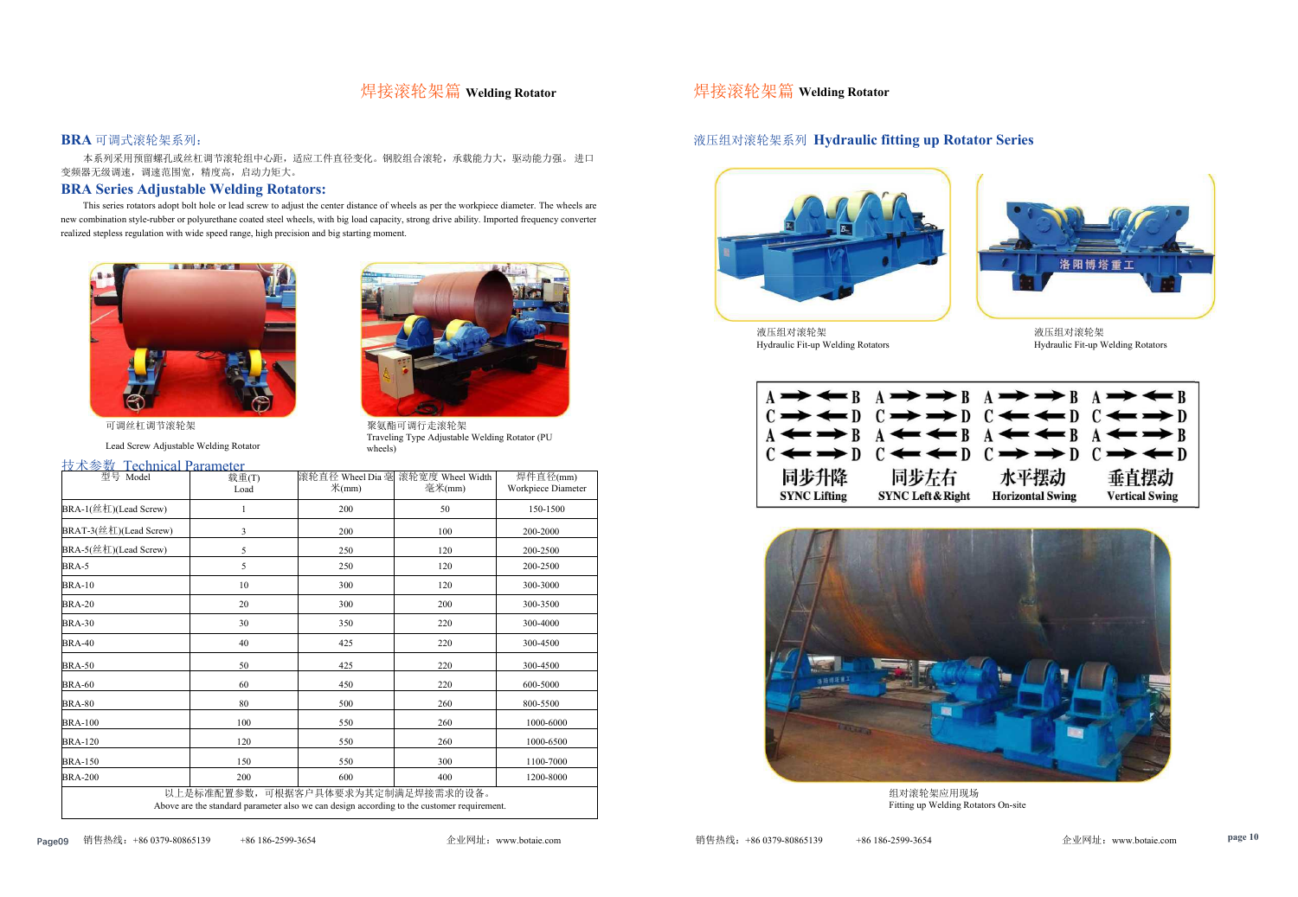# 焊接滚轮架篇 **Welding Rotator** 焊接滚轮架篇 **Welding Rotator**

### **BRA** 可调式滚轮架系列:

本系列采用预留螺孔或丝杠调节滚轮组中心距,适应工件直径变化。钢胶组合滚轮,承载能力大,驱动能力强。 进口 变频器无级调速,调速范围宽,精度高,启动力矩大。

### **BRA Series Adjustable Welding Rotators:**



液压组对滚轮架<br>Hydraulic Fit-up Welding Rotators

This series rotators adopt bolt hole or lead screw to adjust the center distance of wheels as per the workpiece diameter. The wheels are new combination style-rubber or polyurethane coated steel wheels, with big load capacity, strong drive ability. Imported frequency converter





聚氨酯可调行走滚轮架 Traveling Type Adjustable Welding Rotator (PU wheels)

可调丝杠调节滚轮架

Lead Screw Adjustable Welding Rotator

### 技术参数 Technical Parameter

| $12 \times 32 \times 1$ echnical raidifficient<br>型号 Model | 载重(T)                                                                                      |                          | 滚轮直径 Wheel Dia 毫 滚轮宽度 Wheel Width | 焊件直径(mm)           |
|------------------------------------------------------------|--------------------------------------------------------------------------------------------|--------------------------|-----------------------------------|--------------------|
|                                                            | Load                                                                                       | $\mathcal{H}(\text{mm})$ | 毫米(mm)                            | Workpiece Diameter |
| BRA-1(丝杠)(Lead Screw)                                      |                                                                                            | 200                      | 50                                | 150-1500           |
| BRAT-3(丝杠)(Lead Screw)                                     | $\mathfrak{Z}$                                                                             | 200                      | 100                               | 200-2000           |
| BRA-5(丝杠)(Lead Screw)                                      | $\mathfrak s$                                                                              | 250                      | 120                               | 200-2500           |
| BRA-5                                                      | 5                                                                                          | 250                      | 120                               | 200-2500           |
| <b>BRA-10</b>                                              | 10                                                                                         | 300                      | 120                               | 300-3000           |
| <b>BRA-20</b>                                              | 20                                                                                         | 300                      | 200                               | 300-3500           |
| <b>BRA-30</b>                                              | 30                                                                                         | 350                      | 220                               | 300-4000           |
| <b>BRA-40</b>                                              | 40                                                                                         | 425                      | 220                               | 300-4500           |
| <b>BRA-50</b>                                              | 50                                                                                         | 425                      | 220                               | 300-4500           |
| <b>BRA-60</b>                                              | 60                                                                                         | 450                      | 220                               | 600-5000           |
| <b>BRA-80</b>                                              | 80                                                                                         | 500                      | 260                               | 800-5500           |
| <b>BRA-100</b>                                             | 100                                                                                        | 550                      | 260                               | 1000-6000          |
| <b>BRA-120</b>                                             | 120                                                                                        | 550                      | 260                               | 1000-6500          |
| <b>BRA-150</b>                                             | 150                                                                                        | 550                      | 300                               | 1100-7000          |
| <b>BRA-200</b>                                             | 200                                                                                        | 600                      | 400                               | 1200-8000          |
|                                                            | 以上是标准配置参数, 可根据客户具体要求为其定制满足焊接需求的设备。                                                         |                          |                                   |                    |
|                                                            | Above are the standard parameter also we can design according to the customer requirement. |                          |                                   |                    |



液压组对滚轮架<br>Hydraulic Fit-up Welding Rotators Hydraulic Fit-up Welding Rotators



组对滚轮架应用现场 Fitting up Welding Rotators On-site